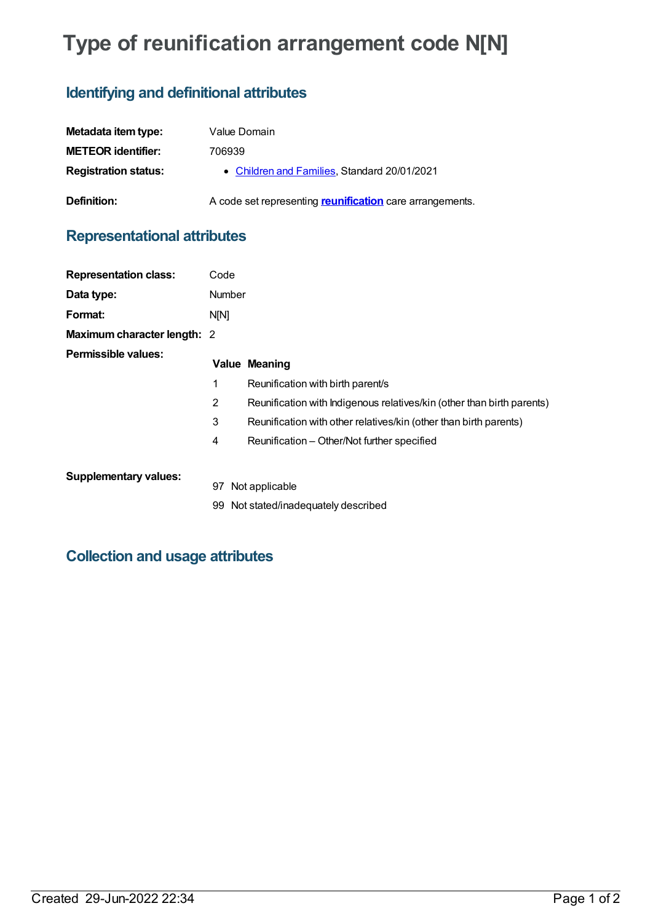# **Type of reunification arrangement code N[N]**

## **Identifying and definitional attributes**

| Metadata item type:         | Value Domain                                             |
|-----------------------------|----------------------------------------------------------|
| <b>METEOR identifier:</b>   | 706939                                                   |
| <b>Registration status:</b> | • Children and Families, Standard 20/01/2021             |
| Definition:                 | A code set representing reunification care arrangements. |

## **Representational attributes**

| <b>Representation class:</b> | Code           |                                                                        |
|------------------------------|----------------|------------------------------------------------------------------------|
| Data type:                   | Number         |                                                                        |
| Format:                      | N <sub>N</sub> |                                                                        |
| Maximum character length: 2  |                |                                                                        |
| <b>Permissible values:</b>   |                | <b>Value Meaning</b>                                                   |
|                              | 1              | Reunification with birth parent/s                                      |
|                              | 2              | Reunification with Indigenous relatives/kin (other than birth parents) |
|                              | 3              | Reunification with other relatives/kin (other than birth parents)      |
|                              | 4              | Reunification – Other/Not further specified                            |
| <b>Supplementary values:</b> |                |                                                                        |
|                              | 97             | Not applicable                                                         |
|                              |                | 99 Not stated/inadequately described                                   |

### **Collection and usage attributes**